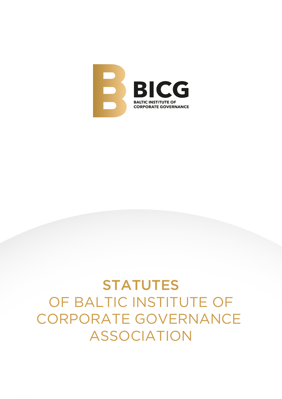

# STATUTES OF BALTIC INSTITUTE OF CORPORATE GOVERNANCE ASSOCIATION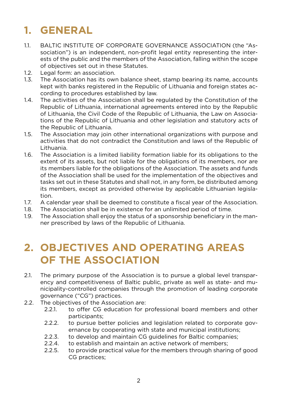# **1. GENERAL**

- 1.1. BALTIC INSTITUTE OF CORPORATE GOVERNANCE ASSOCIATION (the "Association") is an independent, non-profit legal entity representing the interests of the public and the members of the Association, falling within the scope of objectives set out in these Statutes.
- 1.2. Legal form: an association.
- 1.3. The Association has its own balance sheet, stamp bearing its name, accounts kept with banks registered in the Republic of Lithuania and foreign states according to procedures established by law.
- 1.4. The activities of the Association shall be regulated by the Constitution of the Republic of Lithuania, international agreements entered into by the Republic of Lithuania, the Civil Code of the Republic of Lithuania, the Law on Associations of the Republic of Lithuania and other legislation and statutory acts of the Republic of Lithuania.
- 1.5. The Association may join other international organizations with purpose and activities that do not contradict the Constitution and laws of the Republic of Lithuania.
- 1.6. The Association is a limited liability formation liable for its obligations to the extent of its assets, but not liable for the obligations of its members, nor are its members liable for the obligations of the Association. The assets and funds of the Association shall be used for the implementation of the objectives and tasks set out in these Statutes and shall not, in any form, be distributed among its members, except as provided otherwise by applicable Lithuanian legislation.
- 1.7. A calendar year shall be deemed to constitute a fiscal year of the Association.
- 1.8. The Association shall be in existence for an unlimited period of time.
- 1.9. The Association shall enjoy the status of a sponsorship beneficiary in the manner prescribed by laws of the Republic of Lithuania.

### **2. OBJECTIVES AND OPERATING AREAS OF THE ASSOCIATION**

- 2.1. The primary purpose of the Association is to pursue a global level transparency and competitiveness of Baltic public, private as well as state- and municipality-controlled companies through the promotion of leading corporate governance ("CG") practices.
- 2.2. The objectives of the Association are:
	- 2.2.1. to offer CG education for professional board members and other participants;
	- 2.2.2. to pursue better policies and legislation related to corporate governance by cooperating with state and municipal institutions;
	- 2.2.3. to develop and maintain CG guidelines for Baltic companies;
	- 2.2.4. to establish and maintain an active network of members;
	- 2.2.5. to provide practical value for the members through sharing of good CG practices;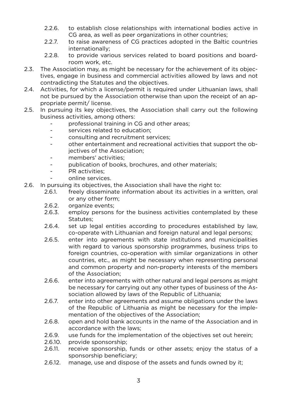- 2.2.6. to establish close relationships with international bodies active in CG area, as well as peer organizations in other countries;
- 2.2.7. to raise awareness of CG practices adopted in the Baltic countries internationally;
- 2.2.8. to provide various services related to board positions and boardroom work, etc.
- 2.3. The Association may, as might be necessary for the achievement of its objectives, engage in business and commercial activities allowed by laws and not contradicting the Statutes and the objectives.
- 2.4. Activities, for which a license/permit is required under Lithuanian laws, shall not be pursued by the Association otherwise than upon the receipt of an appropriate permit/ license.
- 2.5. In pursuing its key objectives, the Association shall carry out the following business activities, among others:
	- professional training in CG and other areas;
	- services related to education;
	- consulting and recruitment services;
	- other entertainment and recreational activities that support the objectives of the Association;
	- members' activities;
	- publication of books, brochures, and other materials;
	- PR activities;
	- online services.
- 2.6. In pursuing its objectives, the Association shall have the right to:
	- 2.6.1. freely disseminate information about its activities in a written, oral or any other form;
	- 2.6.2. organize events;
	- 2.6.3. employ persons for the business activities contemplated by these Statutes;
	- 2.6.4. set up legal entities according to procedures established by law, co-operate with Lithuanian and foreign natural and legal persons;
	- 2.6.5. enter into agreements with state institutions and municipalities with regard to various sponsorship programmes, business trips to foreign countries, co-operation with similar organizations in other countries, etc., as might be necessary when representing personal and common property and non-property interests of the members of the Association;
	- 2.6.6. enter into agreements with other natural and legal persons as might be necessary for carrying out any other types of business of the Association allowed by laws of the Republic of Lithuania;
	- 2.6.7. enter into other agreements and assume obligations under the laws of the Republic of Lithuania as might be necessary for the implementation of the objectives of the Association;
	- 2.6.8. open and hold bank accounts in the name of the Association and in accordance with the laws;
	- 2.6.9. use funds for the implementation of the objectives set out herein;
	- 2.6.10. provide sponsorship;
	- 2.6.11. receive sponsorship, funds or other assets; enjoy the status of a sponsorship beneficiary;
	- 2.6.12. manage, use and dispose of the assets and funds owned by it;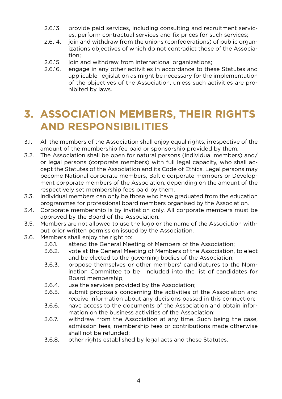- 2.6.13. provide paid services, including consulting and recruitment services, perform contractual services and fix prices for such services;
- 2.6.14. join and withdraw from the unions (confederations) of public organizations objectives of which do not contradict those of the Association;
- 2.6.15. join and withdraw from international organizations;
- 2.6.16. engage in any other activities in accordance to these Statutes and applicable legislation as might be necessary for the implementation of the objectives of the Association, unless such activities are prohibited by laws.

### **3. ASSOCIATION MEMBERS, THEIR RIGHTS AND RESPONSIBILITIES**

- 3.1. All the members of the Association shall enjoy equal rights, irrespective of the amount of the membership fee paid or sponsorship provided by them.
- 3.2. The Association shall be open for natural persons (individual members) and/ or legal persons (corporate members) with full legal capacity, who shall accept the Statutes of the Association and its Code of Ethics. Legal persons may become National corporate members, Baltic corporate members or Development corporate members of the Association, depending on the amount of the respectively set membership fees paid by them.
- 3.3. Individual members can only be those who have graduated from the education programmes for professional board members organised by the Association.
- 3.4. Corporate membership is by invitation only. All corporate members must be approved by the Board of the Association.
- 3.5. Members are not allowed to use the logo or the name of the Association without prior written permission issued by the Association.
- 3.6. Members shall enjoy the right to:
	- 3.6.1. attend the General Meeting of Members of the Association;
	- 3.6.2. vote at the General Meeting of Members of the Association, to elect and be elected to the governing bodies of the Association;
	- 3.6.3. propose themselves or other members' candidatures to the Nomination Committee to be included into the list of candidates for Board membership;
	- 3.6.4. use the services provided by the Association;
	- 3.6.5. submit proposals concerning the activities of the Association and receive information about any decisions passed in this connection;
	- 3.6.6. have access to the documents of the Association and obtain information on the business activities of the Association;
	- 3.6.7. withdraw from the Association at any time. Such being the case, admission fees, membership fees or contributions made otherwise shall not be refunded;
	- 3.6.8. other rights established by legal acts and these Statutes.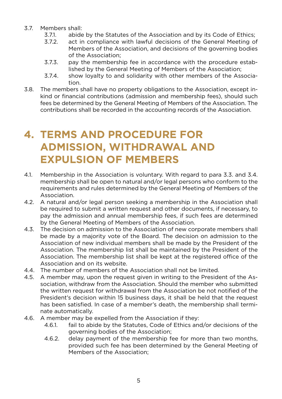- 3.7. Members shall:
	- 3.7.1. abide by the Statutes of the Association and by its Code of Ethics;
	- 3.7.2. act in compliance with lawful decisions of the General Meeting of Members of the Association, and decisions of the governing bodies of the Association;
	- 3.7.3. pay the membership fee in accordance with the procedure established by the General Meeting of Members of the Association;
	- 3.7.4. show loyalty to and solidarity with other members of the Association.
- 3.8. The members shall have no property obligations to the Association, except inkind or financial contributions (admission and membership fees), should such fees be determined by the General Meeting of Members of the Association. The contributions shall be recorded in the accounting records of the Association.

### **4. TERMS AND PROCEDURE FOR ADMISSION, WITHDRAWAL AND EXPULSION OF MEMBERS**

- 4.1. Membership in the Association is voluntary. With regard to para 3.3. and 3.4. membership shall be open to natural and/or legal persons who conform to the requirements and rules determined by the General Meeting of Members of the Association.
- 4.2. A natural and/or legal person seeking a membership in the Association shall be required to submit a written request and other documents, if necessary, to pay the admission and annual membership fees, if such fees are determined by the General Meeting of Members of the Association.
- 4.3. The decision on admission to the Association of new corporate members shall be made by a majority vote of the Board. The decision on admission to the Association of new individual members shall be made by the President of the Association. The membership list shall be maintained by the President of the Association. The membership list shall be kept at the registered office of the Association and on its website.
- 4.4. The number of members of the Association shall not be limited.
- 4.5. A member may, upon the request given in writing to the President of the Association, withdraw from the Association. Should the member who submitted the written request for withdrawal from the Association be not notified of the President's decision within 15 business days, it shall be held that the request has been satisfied. In case of a member's death, the membership shall terminate automatically.
- 4.6. A member may be expelled from the Association if they:
	- 4.6.1. fail to abide by the Statutes, Code of Ethics and/or decisions of the governing bodies of the Association;
	- 4.6.2. delay payment of the membership fee for more than two months, provided such fee has been determined by the General Meeting of Members of the Association;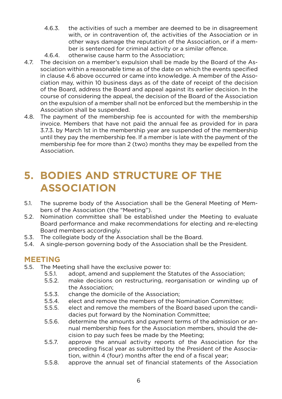- 4.6.3. the activities of such a member are deemed to be in disagreement with, or in contravention of, the activities of the Association or in other ways damage the reputation of the Association, or if a member is sentenced for criminal activity or a similar offence.
- 4.6.4. otherwise cause harm to the Association;
- 4.7. The decision on a member's expulsion shall be made by the Board of the Association within a reasonable time as of the date on which the events specified in clause 4.6 above occurred or came into knowledge. A member of the Association may, within 10 business days as of the date of receipt of the decision of the Board, address the Board and appeal against its earlier decision. In the course of considering the appeal, the decision of the Board of the Association on the expulsion of a member shall not be enforced but the membership in the Association shall be suspended.
- 4.8. The payment of the membership fee is accounted for with the membership invoice. Members that have not paid the annual fee as provided for in para 3.7.3. by March 1st in the membership year are suspended of the membership until they pay the membership fee. If a member is late with the payment of the membership fee for more than 2 (two) months they may be expelled from the Association.

### **5. BODIES AND STRUCTURE OF THE ASSOCIATION**

- 5.1. The supreme body of the Association shall be the General Meeting of Members of the Association (the "Meeting").
- 5.2. Nomination committee shall be established under the Meeting to evaluate Board performance and make recommendations for electing and re-electing Board members accordingly.
- 5.3. The collegiate body of the Association shall be the Board.
- 5.4. A single-person governing body of the Association shall be the President.

### **MEETING**

- 5.5. The Meeting shall have the exclusive power to:
	- 5.5.1. adopt, amend and supplement the Statutes of the Association;
	- 5.5.2. make decisions on restructuring, reorganisation or winding up of the Association;
	- 5.5.3. change the domicile of the Association;
	- 5.5.4. elect and remove the members of the Nomination Committee;
	- 5.5.5. elect and remove the members of the Board based upon the candidacies put forward by the Nomination Committee;
	- 5.5.6. determine the amounts and payment terms of the admission or annual membership fees for the Association members, should the decision to pay such fees be made by the Meeting;
	- 5.5.7. approve the annual activity reports of the Association for the preceding fiscal year as submitted by the President of the Association, within 4 (four) months after the end of a fiscal year;
	- 5.5.8. approve the annual set of financial statements of the Association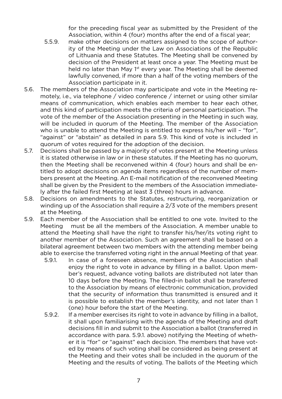for the preceding fiscal year as submitted by the President of the Association, within 4 (four) months after the end of a fiscal year;

- 5.5.9. make other decisions on matters assigned to the scope of authority of the Meeting under the Law on Associations of the Republic of Lithuania and these Statutes. The Meeting shall be convened by decision of the President at least once a year. The Meeting must be held no later than May 1<sup>st</sup> every year. The Meeting shall be deemed lawfully convened, if more than a half of the voting members of the Association participate in it.
- 5.6. The members of the Association may participate and vote in the Meeting remotely, i.e., via telephone / video conference / internet or using other similar means of communication, which enables each member to hear each other, and this kind of participation meets the criteria of personal participation. The vote of the member of the Association presenting in the Meeting in such way, will be included in quorum of the Meeting. The member of the Association who is unable to attend the Meeting is entitled to express his/her will – "for", "against" or "abstain" as detailed in para 5.9. This kind of vote is included in quorum of votes required for the adoption of the decision.
- 5.7. Decisions shall be passed by a majority of votes present at the Meeting unless it is stated otherwise in law or in these statutes. If the Meeting has no quorum, then the Meeting shall be reconvened within 4 (four) hours and shall be entitled to adopt decisions on agenda items regardless of the number of members present at the Meeting. An E-mail notification of the reconvened Meeting shall be given by the President to the members of the Association immediately after the failed first Meeting at least 3 (three) hours in advance.
- 5.8. Decisions on amendments to the Statutes, restructuring, reorganization or winding up of the Association shall require a 2/3 vote of the members present at the Meeting.
- 5.9. Each member of the Association shall be entitled to one vote. Invited to the Meeting must be all the members of the Association. A member unable to attend the Meeting shall have the right to transfer his/her/its voting right to another member of the Association. Such an agreement shall be based on a bilateral agreement between two members with the attending member being able to exercise the transferred voting right in the annual Meeting of that year.
	- 5.9.1. In case of a foreseen absence, members of the Association shall enjoy the right to vote in advance by filling in a ballot. Upon member's request, advance voting ballots are distributed not later than 10 days before the Meeting. The filled-in ballot shall be transferred to the Association by means of electronic communication, provided that the security of information thus transmitted is ensured and it is possible to establish the member's identity, and not later than 1 (one) hour before the start of the Meeting.
	- 5.9.2. If a member exercises its right to vote in advance by filling in a ballot, it shall upon familiarising with the agenda of the Meeting and draft decisions fill in and submit to the Association a ballot (transferred in accordance with para. 5.9.1. above) notifying the Meeting of whether it is "for" or "against" each decision. The members that have voted by means of such voting shall be considered as being present at the Meeting and their votes shall be included in the quorum of the Meeting and the results of voting. The ballots of the Meeting which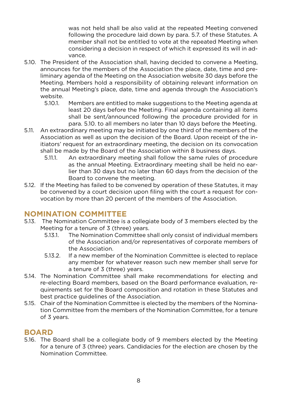was not held shall be also valid at the repeated Meeting convened following the procedure laid down by para. 5.7. of these Statutes. A member shall not be entitled to vote at the repeated Meeting when considering a decision in respect of which it expressed its will in advance.

- 5.10. The President of the Association shall, having decided to convene a Meeting, announces for the members of the Association the place, date, time and preliminary agenda of the Meeting on the Association website 30 days before the Meeting. Members hold a responsibility of obtaining relevant information on the annual Meeting's place, date, time and agenda through the Association's website.
	- 5.10.1. Members are entitled to make suggestions to the Meeting agenda at least 20 days before the Meeting. Final agenda containing all items shall be sent/announced following the procedure provided for in para. 5.10. to all members no later than 10 days before the Meeting.
- 5.11. An extraordinary meeting may be initiated by one third of the members of the Association as well as upon the decision of the Board. Upon receipt of the initiators' request for an extraordinary meeting, the decision on its convocation shall be made by the Board of the Association within 8 business days.
	- 5.11.1. An extraordinary meeting shall follow the same rules of procedure as the annual Meeting. Extraordinary meeting shall be held no earlier than 30 days but no later than 60 days from the decision of the Board to convene the meeting.
- 5.12. If the Meeting has failed to be convened by operation of these Statutes, it may be convened by a court decision upon filing with the court a request for convocation by more than 20 percent of the members of the Association.

### **NOMINATION COMMITTEE**

- 5.13. The Nomination Committee is a collegiate body of 3 members elected by the Meeting for a tenure of 3 (three) years.
	- 5.13.1. The Nomination Committee shall only consist of individual members of the Association and/or representatives of corporate members of the Association.
	- 5.13.2. If a new member of the Nomination Committee is elected to replace any member for whatever reason such new member shall serve for a tenure of 3 (three) years.
- 5.14. The Nomination Committee shall make recommendations for electing and re-electing Board members, based on the Board performance evaluation, requirements set for the Board composition and rotation in these Statutes and best practice guidelines of the Association.
- 5.15. Chair of the Nomination Committee is elected by the members of the Nomination Committee from the members of the Nomination Committee, for a tenure of 3 years.

### **BOARD**

5.16. The Board shall be a collegiate body of 9 members elected by the Meeting for a tenure of 3 (three) years. Candidacies for the election are chosen by the Nomination Committee.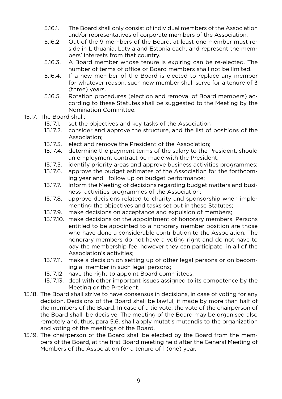- 5.16.1. The Board shall only consist of individual members of the Association and/or representatives of corporate members of the Association.
- 5.16.2. Out of the 9 members of the Board, at least one member must reside in Lithuania, Latvia and Estonia each, and represent the members' interests from that country.
- 5.16.3. A Board member whose tenure is expiring can be re-elected. The number of terms of office of Board members shall not be limited.
- 5.16.4. If a new member of the Board is elected to replace any member for whatever reason, such new member shall serve for a tenure of 3 (three) years.
- 5.16.5. Rotation procedures (election and removal of Board members) according to these Statutes shall be suggested to the Meeting by the Nomination Committee.

#### 15.17. The Board shall:

- 15.17.1. set the objectives and key tasks of the Association
- 15.17.2. consider and approve the structure, and the list of positions of the Association;
- 15.17.3. elect and remove the President of the Association;
- 15.17.4. determine the payment terms of the salary to the President, should an employment contract be made with the President;
- 15.17.5. identify priority areas and approve business activities programmes;
- 15.17.6. approve the budget estimates of the Association for the forthcoming year and follow up on budget performance;
- 15.17.7. inform the Meeting of decisions regarding budget matters and business activities programmes of the Association;
- 15.17.8. approve decisions related to charity and sponsorship when implementing the objectives and tasks set out in these Statutes;
- 15.17.9. make decisions on acceptance and expulsion of members;
- 15.17.10. make decisions on the appointment of honorary members. Persons entitled to be appointed to a honorary member position are those who have done a considerable contribution to the Association. The honorary members do not have a voting right and do not have to pay the membership fee, however they can participate in all of the Association's activities;
- 15.17.11. make a decision on setting up of other legal persons or on becoming a member in such legal persons;
- 15.17.12. have the right to appoint Board committees;
- 15.17.13. deal with other important issues assigned to its competence by the Meeting or the President.
- 15.18. The Board shall strive to have consensus in decisions, in case of voting for any decision. Decisions of the Board shall be lawful, if made by more than half of the members of the Board. In case of a tie vote, the vote of the chairperson of the Board shall be decisive. The meeting of the Board may be organised also remotely and, thus, para 5.6. shall apply mutatis mutandis to the organization and voting of the meetings of the Board.
- 15.19. The chairperson of the Board shall be elected by the Board from the members of the Board, at the first Board meeting held after the General Meeting of Members of the Association for a tenure of 1 (one) year.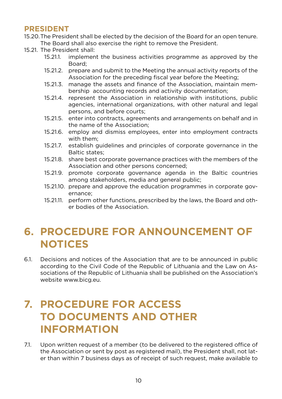### **PRESIDENT**

15.20.The President shall be elected by the decision of the Board for an open tenure. The Board shall also exercise the right to remove the President.

- 15.21. The President shall:
	- 15.21.1. implement the business activities programme as approved by the Board;
	- 15.21.2. prepare and submit to the Meeting the annual activity reports of the Association for the preceding fiscal year before the Meeting;
	- 15.21.3. manage the assets and finance of the Association, maintain membership accounting records and activity documentation;
	- 15.21.4. represent the Association in relationship with institutions, public agencies, international organizations, with other natural and legal persons, and before courts;
	- 15.21.5. enter into contracts, agreements and arrangements on behalf and in the name of the Association;
	- 15.21.6. employ and dismiss employees, enter into employment contracts with them;
	- 15.21.7. establish guidelines and principles of corporate governance in the Baltic states;
	- 15.21.8. share best corporate governance practices with the members of the Association and other persons concerned;
	- 15.21.9. promote corporate governance agenda in the Baltic countries among stakeholders, media and general public;
	- 15.21.10. prepare and approve the education programmes in corporate governance;
	- 15.21.11. perform other functions, prescribed by the laws, the Board and other bodies of the Association.

### **6. PROCEDURE FOR ANNOUNCEMENT OF NOTICES**

6.1. Decisions and notices of the Association that are to be announced in public according to the Civil Code of the Republic of Lithuania and the Law on Associations of the Republic of Lithuania shall be published on the Association's website www.bicg.eu.

## **7. PROCEDURE FOR ACCESS TO DOCUMENTS AND OTHER INFORMATION**

7.1. Upon written request of a member (to be delivered to the registered office of the Association or sent by post as registered mail), the President shall, not later than within 7 business days as of receipt of such request, make available to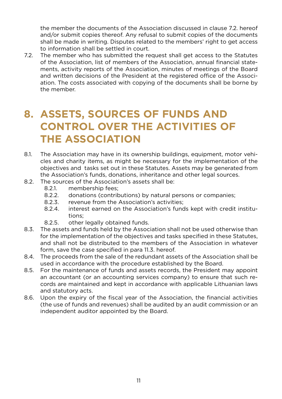the member the documents of the Association discussed in clause 7.2. hereof and/or submit copies thereof. Any refusal to submit copies of the documents shall be made in writing. Disputes related to the members' right to get access to information shall be settled in court.

7.2. The member who has submitted the request shall get access to the Statutes of the Association, list of members of the Association, annual financial statements, activity reports of the Association, minutes of meetings of the Board and written decisions of the President at the registered office of the Association. The costs associated with copying of the documents shall be borne by the member.

# **8. ASSETS, SOURCES OF FUNDS AND CONTROL OVER THE ACTIVITIES OF THE ASSOCIATION**

- 8.1. The Association may have in its ownership buildings, equipment, motor vehicles and charity items, as might be necessary for the implementation of the objectives and tasks set out in these Statutes. Assets may be generated from the Association's funds, donations, inheritance and other legal sources.
- 8.2. The sources of the Association's assets shall be:
	- 8.2.1. membership fees;
	- 8.2.2. donations (contributions) by natural persons or companies;
	- 8.2.3. revenue from the Association's activities;
	- 8.2.4. interest earned on the Association's funds kept with credit institutions;
	- 8.2.5. other legally obtained funds.
- 8.3. The assets and funds held by the Association shall not be used otherwise than for the implementation of the objectives and tasks specified in these Statutes, and shall not be distributed to the members of the Association in whatever form, save the case specified in para 11.3. hereof.
- 8.4. The proceeds from the sale of the redundant assets of the Association shall be used in accordance with the procedure established by the Board.
- 8.5. For the maintenance of funds and assets records, the President may appoint an accountant (or an accounting services company) to ensure that such records are maintained and kept in accordance with applicable Lithuanian laws and statutory acts.
- 8.6. Upon the expiry of the fiscal year of the Association, the financial activities (the use of funds and revenues) shall be audited by an audit commission or an independent auditor appointed by the Board.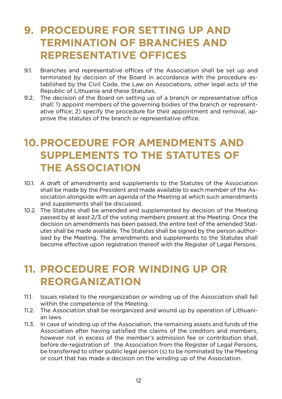# **9. PROCEDURE FOR SETTING UP AND TERMINATION OF BRANCHES AND REPRESENTATIVE OFFICES**

- 9.1. Branches and representative offices of the Association shall be set up and terminated by decision of the Board in accordance with the procedure established by the Civil Code, the Law on Associations, other legal acts of the Republic of Lithuania and these Statutes.
- 9.2. The decision of the Board on setting up of a branch or representative office shall: 1) appoint members of the governing bodies of the branch or representative office; 2) specify the procedure for their appointment and removal, approve the statutes of the branch or representative office.

## **10.PROCEDURE FOR AMENDMENTS AND SUPPLEMENTS TO THE STATUTES OF THE ASSOCIATION**

- 10.1. A draft of amendments and supplements to the Statutes of the Association shall be made by the President and made available to each member of the Association alongside with an agenda of the Meeting at which such amendments and supplements shall be discussed.
- 10.2. The Statutes shall be amended and supplemented by decision of the Meeting passed by at least 2/3 of the voting members present at the Meeting. Once the decision on amendments has been passed, the entire text of the amended Statutes shall be made available. The Statutes shall be signed by the person authorised by the Meeting. The amendments and supplements to the Statutes shall become effective upon registration thereof with the Register of Legal Persons.

### **11. PROCEDURE FOR WINDING UP OR REORGANIZATION**

- 11.1. Issues related to the reorganization or winding up of the Association shall fall within the competence of the Meeting.
- 11.2. The Association shall be reorganized and wound up by operation of Lithuanian laws.
- 11.3. In case of winding up of the Association, the remaining assets and funds of the Association after having satisfied the claims of the creditors and members, however not in excess of the member's admission fee or contribution shall, before de-registration of the Association from the Register of Legal Persons, be transferred to other public legal person (s) to be nominated by the Meeting or court that has made a decision on the winding up of the Association.